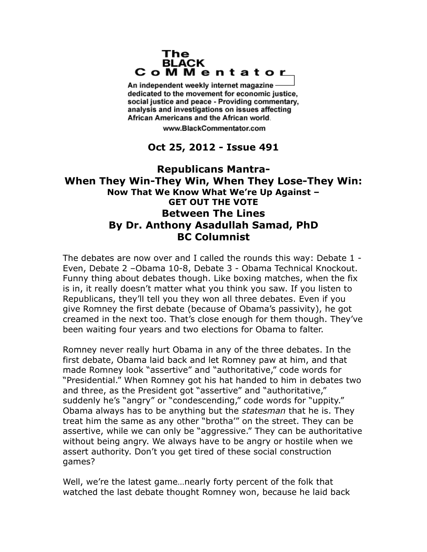## The **BLACK** CoMMentator

An independent weekly internet magazine dedicated to the movement for economic justice. social justice and peace - Providing commentary, analysis and investigations on issues affecting African Americans and the African world.

www.BlackCommentator.com

## **Oct 25, 2012 - Issue 491**

## **Republicans Mantra-When They Win-They Win, When They Lose-They Win: Now That We Know What We're Up Against – GET OUT THE VOTE Between The Lines By Dr. Anthony Asadullah Samad, PhD BC Columnist**

The debates are now over and I called the rounds this way: Debate 1 - Even, Debate 2 –Obama 10-8, Debate 3 - Obama Technical Knockout. Funny thing about debates though. Like boxing matches, when the fix is in, it really doesn't matter what you think you saw. If you listen to Republicans, they'll tell you they won all three debates. Even if you give Romney the first debate (because of Obama's passivity), he got creamed in the next too. That's close enough for them though. They've been waiting four years and two elections for Obama to falter.

Romney never really hurt Obama in any of the three debates. In the first debate, Obama laid back and let Romney paw at him, and that made Romney look "assertive" and "authoritative," code words for "Presidential." When Romney got his hat handed to him in debates two and three, as the President got "assertive" and "authoritative," suddenly he's "angry" or "condescending," code words for "uppity." Obama always has to be anything but the *statesman* that he is. They treat him the same as any other "brotha'" on the street. They can be assertive, while we can only be "aggressive." They can be authoritative without being angry. We always have to be angry or hostile when we assert authority. Don't you get tired of these social construction games?

Well, we're the latest game…nearly forty percent of the folk that watched the last debate thought Romney won, because he laid back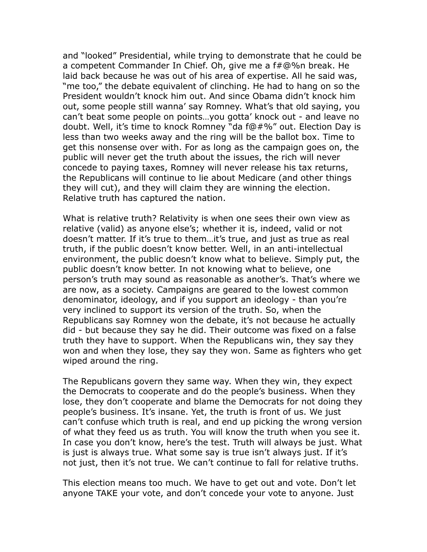and "looked" Presidential, while trying to demonstrate that he could be a competent Commander In Chief. Oh, give me a f#@%n break. He laid back because he was out of his area of expertise. All he said was, "me too," the debate equivalent of clinching. He had to hang on so the President wouldn't knock him out. And since Obama didn't knock him out, some people still wanna' say Romney. What's that old saying, you can't beat some people on points…you gotta' knock out - and leave no doubt. Well, it's time to knock Romney "da f@#%" out. Election Day is less than two weeks away and the ring will be the ballot box. Time to get this nonsense over with. For as long as the campaign goes on, the public will never get the truth about the issues, the rich will never concede to paying taxes, Romney will never release his tax returns, the Republicans will continue to lie about Medicare (and other things they will cut), and they will claim they are winning the election. Relative truth has captured the nation.

What is relative truth? Relativity is when one sees their own view as relative (valid) as anyone else's; whether it is, indeed, valid or not doesn't matter. If it's true to them…it's true, and just as true as real truth, if the public doesn't know better. Well, in an anti-intellectual environment, the public doesn't know what to believe. Simply put, the public doesn't know better. In not knowing what to believe, one person's truth may sound as reasonable as another's. That's where we are now, as a society. Campaigns are geared to the lowest common denominator, ideology, and if you support an ideology - than you're very inclined to support its version of the truth. So, when the Republicans say Romney won the debate, it's not because he actually did - but because they say he did. Their outcome was fixed on a false truth they have to support. When the Republicans win, they say they won and when they lose, they say they won. Same as fighters who get wiped around the ring.

The Republicans govern they same way. When they win, they expect the Democrats to cooperate and do the people's business. When they lose, they don't cooperate and blame the Democrats for not doing they people's business. It's insane. Yet, the truth is front of us. We just can't confuse which truth is real, and end up picking the wrong version of what they feed us as truth. You will know the truth when you see it. In case you don't know, here's the test. Truth will always be just. What is just is always true. What some say is true isn't always just. If it's not just, then it's not true. We can't continue to fall for relative truths.

This election means too much. We have to get out and vote. Don't let anyone TAKE your vote, and don't concede your vote to anyone. Just